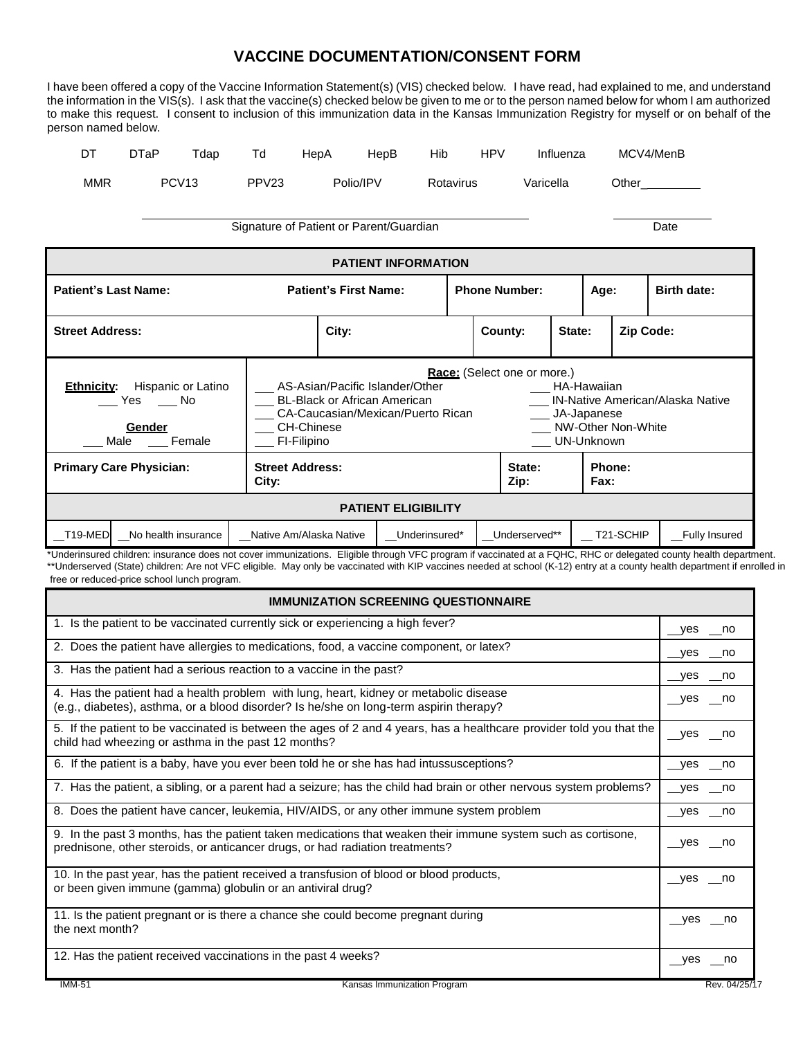## **VACCINE DOCUMENTATION/CONSENT FORM**

I have been offered a copy of the Vaccine Information Statement(s) (VIS) checked below. I have read, had explained to me, and understand the information in the VIS(s). I ask that the vaccine(s) checked below be given to me or to the person named below for whom I am authorized to make this request. I consent to inclusion of this immunization data in the Kansas Immunization Registry for myself or on behalf of the person named below.

| $\Gamma$<br>ו ש | DTaP | $\tau$ dap        | Td                | HepA | HepB      | Hib       | <b>HPV</b> | Influenza | MCV4/MenB |  |
|-----------------|------|-------------------|-------------------|------|-----------|-----------|------------|-----------|-----------|--|
| MMR             |      | PCV <sub>13</sub> | PPV <sub>23</sub> |      | Polio/IPV | Rotavirus |            | Varicella | Other     |  |

Signature of Patient or Parent/Guardian Date

| <b>PATIENT INFORMATION</b>                                                                                                                                                                                                                                                                                                                                                        |                                 |               |                      |  |                       |                    |  |  |  |
|-----------------------------------------------------------------------------------------------------------------------------------------------------------------------------------------------------------------------------------------------------------------------------------------------------------------------------------------------------------------------------------|---------------------------------|---------------|----------------------|--|-----------------------|--------------------|--|--|--|
| <b>Patient's Last Name:</b>                                                                                                                                                                                                                                                                                                                                                       | <b>Patient's First Name:</b>    |               | <b>Phone Number:</b> |  | Age:                  | <b>Birth date:</b> |  |  |  |
| <b>Street Address:</b>                                                                                                                                                                                                                                                                                                                                                            | City:                           |               | State:<br>County:    |  | Zip Code:             |                    |  |  |  |
| Race: (Select one or more.)<br>Hispanic or Latino<br>AS-Asian/Pacific Islander/Other<br>HA-Hawaiian<br><b>Ethnicity:</b><br><b>BL-Black or African American</b><br><b>IN-Native American/Alaska Native</b><br>Yes<br>– No<br>CA-Caucasian/Mexican/Puerto Rican<br>JA-Japanese<br>NW-Other Non-White<br><b>CH-Chinese</b><br>Gender<br>UN-Unknown<br>Female<br>FI-Filipino<br>Male |                                 |               |                      |  |                       |                    |  |  |  |
| <b>Primary Care Physician:</b>                                                                                                                                                                                                                                                                                                                                                    | <b>Street Address:</b><br>City: |               |                      |  | Phone:<br><b>Fax:</b> |                    |  |  |  |
| <b>PATIENT ELIGIBILITY</b>                                                                                                                                                                                                                                                                                                                                                        |                                 |               |                      |  |                       |                    |  |  |  |
| T19-MED<br>No health insurance                                                                                                                                                                                                                                                                                                                                                    | Native Am/Alaska Native         | Underinsured* | Underserved**        |  | T21-SCHIP             | Fully Insured      |  |  |  |

\*Underinsured children: insurance does not cover immunizations. Eligible through VFC program if vaccinated at a FQHC, RHC or delegated county health department. \*\*Underserved (State) children: Are not VFC eligible. May only be vaccinated with KIP vaccines needed at school (K-12) entry at a county health department if enrolled in free or reduced-price school lunch program.

| <b>IMMUNIZATION SCREENING QUESTIONNAIRE</b>                                                                                                                                                    |               |  |  |  |  |  |
|------------------------------------------------------------------------------------------------------------------------------------------------------------------------------------------------|---------------|--|--|--|--|--|
| 1. Is the patient to be vaccinated currently sick or experiencing a high fever?                                                                                                                | yes no        |  |  |  |  |  |
| 2. Does the patient have allergies to medications, food, a vaccine component, or latex?                                                                                                        | __yes ___no   |  |  |  |  |  |
| 3. Has the patient had a serious reaction to a vaccine in the past?                                                                                                                            | yes no        |  |  |  |  |  |
| 4. Has the patient had a health problem with lung, heart, kidney or metabolic disease<br>(e.g., diabetes), asthma, or a blood disorder? Is he/she on long-term aspirin therapy?                | yes no        |  |  |  |  |  |
| 5. If the patient to be vaccinated is between the ages of 2 and 4 years, has a healthcare provider told you that the<br>child had wheezing or asthma in the past 12 months?                    | yes __no      |  |  |  |  |  |
| 6. If the patient is a baby, have you ever been told he or she has had intussusceptions?                                                                                                       | __yes __no    |  |  |  |  |  |
| 7. Has the patient, a sibling, or a parent had a seizure; has the child had brain or other nervous system problems?                                                                            | __yes __no    |  |  |  |  |  |
| 8. Does the patient have cancer, leukemia, HIV/AIDS, or any other immune system problem                                                                                                        | __yes __no    |  |  |  |  |  |
| 9. In the past 3 months, has the patient taken medications that weaken their immune system such as cortisone,<br>prednisone, other steroids, or anticancer drugs, or had radiation treatments? | yes no        |  |  |  |  |  |
| 10. In the past year, has the patient received a transfusion of blood or blood products,<br>or been given immune (gamma) globulin or an antiviral drug?                                        | ves<br>no no  |  |  |  |  |  |
| 11. Is the patient pregnant or is there a chance she could become pregnant during<br>the next month?                                                                                           | ves<br>no no  |  |  |  |  |  |
| 12. Has the patient received vaccinations in the past 4 weeks?                                                                                                                                 | yes no        |  |  |  |  |  |
| <b>IMM-51</b><br>Kansas Immunization Program                                                                                                                                                   | Rev. 04/25/17 |  |  |  |  |  |